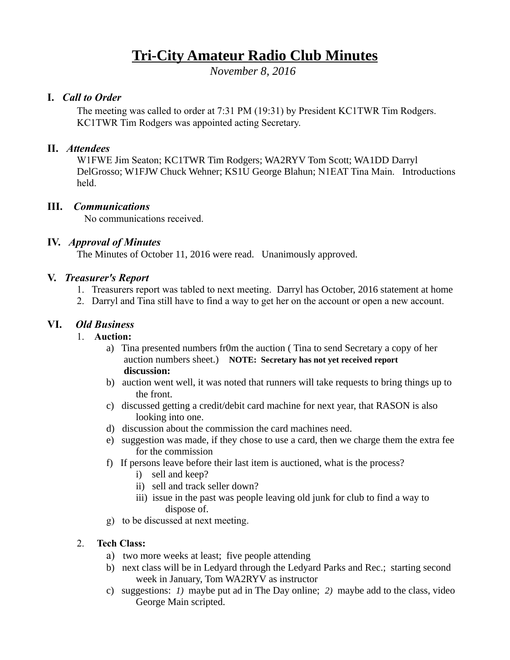# **Tri-City Amateur Radio Club Minutes**

*November 8, 2016* 

### **I.** *Call to Order*

The meeting was called to order at 7:31 PM (19:31) by President KC1TWR Tim Rodgers. KC1TWR Tim Rodgers was appointed acting Secretary.

### **II.** *Attendees*

W1FWE Jim Seaton; KC1TWR Tim Rodgers; WA2RYV Tom Scott; WA1DD Darryl DelGrosso; W1FJW Chuck Wehner; KS1U George Blahun; N1EAT Tina Main. Introductions held.

### **III.** *Communications*

No communications received.

### **IV.** *Approval of Minutes*

The Minutes of October 11, 2016 were read. Unanimously approved.

#### **V.** *Treasurer's Report*

- 1. Treasurers report was tabled to next meeting. Darryl has October, 2016 statement at home
- 2. Darryl and Tina still have to find a way to get her on the account or open a new account.

### **VI.** *Old Business*

- 1. **Auction:**
	- a) Tina presented numbers fr0m the auction ( Tina to send Secretary a copy of her auction numbers sheet.) **NOTE: Secretary has not yet received report discussion:**
	- b) auction went well, it was noted that runners will take requests to bring things up to the front.
	- c) discussed getting a credit/debit card machine for next year, that RASON is also looking into one.
	- d) discussion about the commission the card machines need.
	- e) suggestion was made, if they chose to use a card, then we charge them the extra fee for the commission
	- f) If persons leave before their last item is auctioned, what is the process?
		- i) sell and keep?
		- ii) sell and track seller down?
		- iii) issue in the past was people leaving old junk for club to find a way to dispose of.
	- g) to be discussed at next meeting.

### 2. **Tech Class:**

- a) two more weeks at least; five people attending
- b) next class will be in Ledyard through the Ledyard Parks and Rec.; starting second week in January, Tom WA2RYV as instructor
- c) suggestions: *1)* maybe put ad in The Day online; *2)* maybe add to the class, video George Main scripted.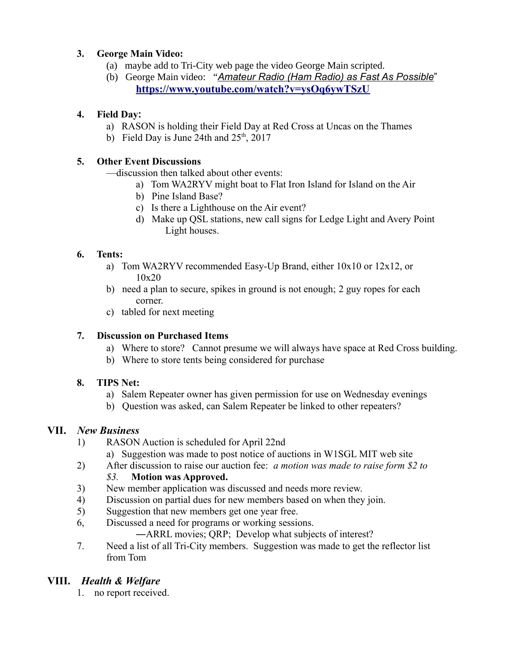### **3. George Main Video:**

- (a) maybe add to Tri-City web page the video George Main scripted.
- (b) George Main video: "*Amateur Radio (Ham Radio) as Fast As Possible*" **<https://www.youtube.com/watch?v=ysOq6ywTSzU>**

## **4. Field Day:**

- a) RASON is holding their Field Day at Red Cross at Uncas on the Thames
- b) Field Day is June 24th and  $25<sup>th</sup>$ , 2017

# **5. Other Event Discussions**

—discussion then talked about other events:

- a) Tom WA2RYV might boat to Flat Iron Island for Island on the Air
- b) Pine Island Base?
- c) Is there a Lighthouse on the Air event?
- d) Make up QSL stations, new call signs for Ledge Light and Avery Point Light houses.

# **6. Tents:**

- a) Tom WA2RYV recommended Easy-Up Brand, either 10x10 or 12x12, or 10x20
- b) need a plan to secure, spikes in ground is not enough; 2 guy ropes for each corner.
- c) tabled for next meeting

# **7. Discussion on Purchased Items**

- a) Where to store? Cannot presume we will always have space at Red Cross building.
- b) Where to store tents being considered for purchase

# **8. TIPS Net:**

- a) Salem Repeater owner has given permission for use on Wednesday evenings
- b) Question was asked, can Salem Repeater be linked to other repeaters?

# **VII.** *New Business*

- 1) RASON Auction is scheduled for April 22nd
	- a) Suggestion was made to post notice of auctions in W1SGL MIT web site
- 2) After discussion to raise our auction fee: *a motion was made to raise form \$2 to*

# *\$3.* **Motion was Approved.**

- 3) New member application was discussed and needs more review.
- 4) Discussion on partial dues for new members based on when they join.
- 5) Suggestion that new members get one year free.
- 6, Discussed a need for programs or working sessions.

―ARRL movies; QRP; Develop what subjects of interest?

7. Need a list of all Tri-City members. Suggestion was made to get the reflector list from Tom

# **VIII.** *Health & Welfare*

1. no report received.